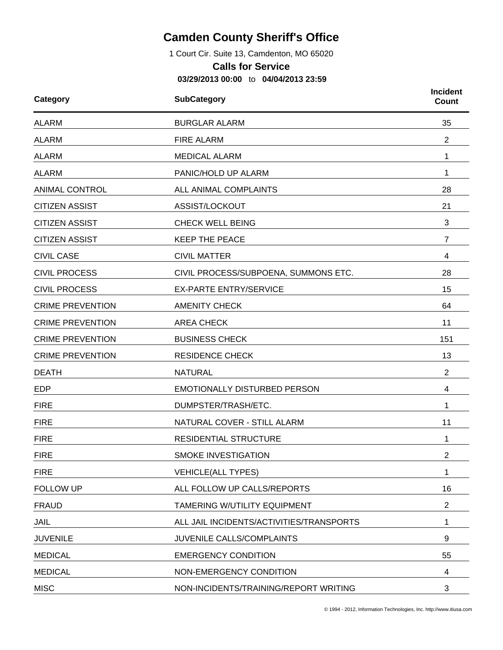## **Camden County Sheriff's Office**

1 Court Cir. Suite 13, Camdenton, MO 65020

## **Calls for Service**

**03/29/2013 00:00** to **04/04/2013 23:59**

| Category                | <b>SubCategory</b>                       |                |
|-------------------------|------------------------------------------|----------------|
| <b>ALARM</b>            | <b>BURGLAR ALARM</b>                     | 35             |
| <b>ALARM</b>            | <b>FIRE ALARM</b>                        | 2              |
| <b>ALARM</b>            | <b>MEDICAL ALARM</b>                     | 1              |
| <b>ALARM</b>            | PANIC/HOLD UP ALARM                      | 1              |
| <b>ANIMAL CONTROL</b>   | ALL ANIMAL COMPLAINTS                    | 28             |
| <b>CITIZEN ASSIST</b>   | ASSIST/LOCKOUT                           | 21             |
| <b>CITIZEN ASSIST</b>   | <b>CHECK WELL BEING</b>                  | 3              |
| <b>CITIZEN ASSIST</b>   | <b>KEEP THE PEACE</b>                    | 7              |
| <b>CIVIL CASE</b>       | <b>CIVIL MATTER</b>                      | 4              |
| <b>CIVIL PROCESS</b>    | CIVIL PROCESS/SUBPOENA, SUMMONS ETC.     | 28             |
| <b>CIVIL PROCESS</b>    | <b>EX-PARTE ENTRY/SERVICE</b>            | 15             |
| <b>CRIME PREVENTION</b> | <b>AMENITY CHECK</b>                     | 64             |
| <b>CRIME PREVENTION</b> | <b>AREA CHECK</b>                        | 11             |
| <b>CRIME PREVENTION</b> | <b>BUSINESS CHECK</b>                    | 151            |
| <b>CRIME PREVENTION</b> | <b>RESIDENCE CHECK</b>                   | 13             |
| <b>DEATH</b>            | <b>NATURAL</b>                           | $\overline{2}$ |
| <b>EDP</b>              | <b>EMOTIONALLY DISTURBED PERSON</b>      | 4              |
| <b>FIRE</b>             | DUMPSTER/TRASH/ETC.                      | 1              |
| <b>FIRE</b>             | NATURAL COVER - STILL ALARM              | 11             |
| <b>FIRE</b>             | RESIDENTIAL STRUCTURE                    | 1              |
| <b>FIRE</b>             | SMOKE INVESTIGATION                      | 2              |
| <b>FIRE</b>             | <b>VEHICLE(ALL TYPES)</b>                | 1              |
| <b>FOLLOW UP</b>        | ALL FOLLOW UP CALLS/REPORTS              | 16             |
| <b>FRAUD</b>            | TAMERING W/UTILITY EQUIPMENT             | $\overline{2}$ |
| JAIL                    | ALL JAIL INCIDENTS/ACTIVITIES/TRANSPORTS | 1              |
| <b>JUVENILE</b>         | JUVENILE CALLS/COMPLAINTS                | 9              |
| <b>MEDICAL</b>          | <b>EMERGENCY CONDITION</b>               | 55             |
| <b>MEDICAL</b>          | NON-EMERGENCY CONDITION                  | 4              |
| <b>MISC</b>             | NON-INCIDENTS/TRAINING/REPORT WRITING    | 3              |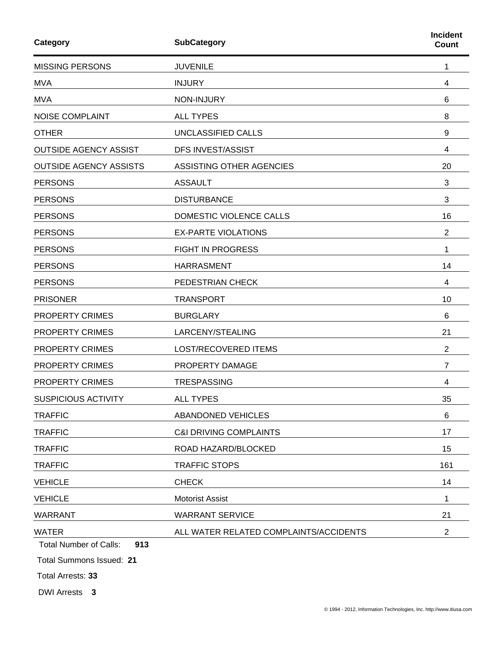| Category                                                                              | <b>SubCategory</b>                     | <b>Incident</b><br><b>Count</b> |
|---------------------------------------------------------------------------------------|----------------------------------------|---------------------------------|
| <b>MISSING PERSONS</b>                                                                | <b>JUVENILE</b>                        | 1                               |
| <b>MVA</b>                                                                            | <b>INJURY</b>                          | 4                               |
| <b>MVA</b>                                                                            | NON-INJURY                             | 6                               |
| <b>NOISE COMPLAINT</b>                                                                | <b>ALL TYPES</b>                       | 8                               |
| <b>OTHER</b>                                                                          | UNCLASSIFIED CALLS                     | 9                               |
| <b>OUTSIDE AGENCY ASSIST</b>                                                          | <b>DFS INVEST/ASSIST</b>               | 4                               |
| <b>OUTSIDE AGENCY ASSISTS</b>                                                         | ASSISTING OTHER AGENCIES               | 20                              |
| <b>PERSONS</b>                                                                        | <b>ASSAULT</b>                         | 3                               |
| <b>PERSONS</b>                                                                        | <b>DISTURBANCE</b>                     | 3                               |
| <b>PERSONS</b>                                                                        | DOMESTIC VIOLENCE CALLS                | 16                              |
| <b>PERSONS</b>                                                                        | <b>EX-PARTE VIOLATIONS</b>             | $\overline{2}$                  |
| <b>PERSONS</b>                                                                        | <b>FIGHT IN PROGRESS</b>               | 1                               |
| <b>PERSONS</b>                                                                        | <b>HARRASMENT</b>                      | 14                              |
| <b>PERSONS</b>                                                                        | PEDESTRIAN CHECK                       | 4                               |
| <b>PRISONER</b>                                                                       | <b>TRANSPORT</b>                       | 10                              |
| PROPERTY CRIMES                                                                       | <b>BURGLARY</b>                        | 6                               |
| PROPERTY CRIMES                                                                       | LARCENY/STEALING                       | 21                              |
| <b>PROPERTY CRIMES</b>                                                                | <b>LOST/RECOVERED ITEMS</b>            | 2                               |
| PROPERTY CRIMES                                                                       | PROPERTY DAMAGE                        | 7                               |
| <b>PROPERTY CRIMES</b>                                                                | <b>TRESPASSING</b>                     | 4                               |
| <b>SUSPICIOUS ACTIVITY</b>                                                            | <b>ALL TYPES</b>                       | 35                              |
| <b>TRAFFIC</b>                                                                        | ABANDONED VEHICLES                     | 6                               |
| <b>TRAFFIC</b>                                                                        | <b>C&amp;I DRIVING COMPLAINTS</b>      | 17                              |
| <b>TRAFFIC</b>                                                                        | ROAD HAZARD/BLOCKED                    | 15                              |
| <b>TRAFFIC</b>                                                                        | <b>TRAFFIC STOPS</b>                   | 161                             |
| <b>VEHICLE</b>                                                                        | <b>CHECK</b>                           | 14                              |
| <b>VEHICLE</b>                                                                        | <b>Motorist Assist</b>                 | 1                               |
| <b>WARRANT</b>                                                                        | <b>WARRANT SERVICE</b>                 | 21                              |
| <b>WATER</b>                                                                          | ALL WATER RELATED COMPLAINTS/ACCIDENTS | $\overline{2}$                  |
| <b>Total Number of Calls:</b><br>913<br>Total Summons Issued: 21<br>Total Arrests: 33 |                                        |                                 |
|                                                                                       |                                        |                                 |

DWI Arrests **3**